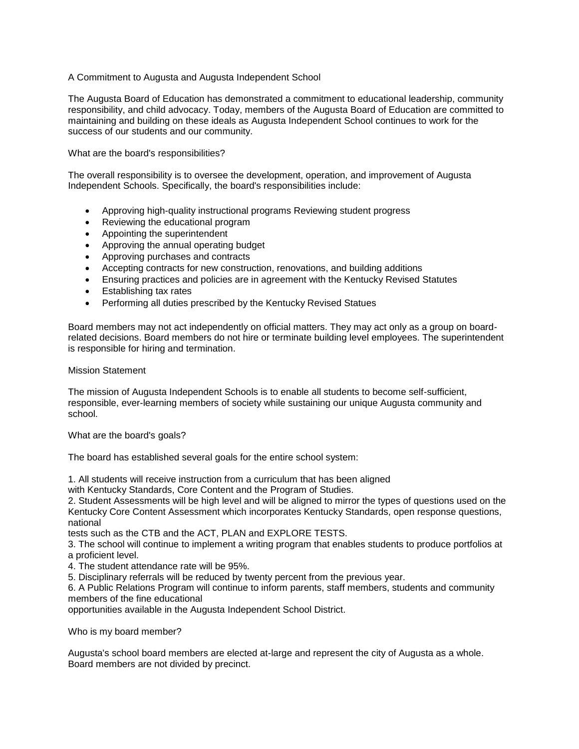## A Commitment to Augusta and Augusta Independent School

The Augusta Board of Education has demonstrated a commitment to educational leadership, community responsibility, and child advocacy. Today, members of the Augusta Board of Education are committed to maintaining and building on these ideals as Augusta Independent School continues to work for the success of our students and our community.

What are the board's responsibilities?

The overall responsibility is to oversee the development, operation, and improvement of Augusta Independent Schools. Specifically, the board's responsibilities include:

- Approving high-quality instructional programs Reviewing student progress
- Reviewing the educational program
- Appointing the superintendent
- Approving the annual operating budget
- Approving purchases and contracts
- Accepting contracts for new construction, renovations, and building additions
- Ensuring practices and policies are in agreement with the Kentucky Revised Statutes
- Establishing tax rates
- Performing all duties prescribed by the Kentucky Revised Statues

Board members may not act independently on official matters. They may act only as a group on boardrelated decisions. Board members do not hire or terminate building level employees. The superintendent is responsible for hiring and termination.

## Mission Statement

The mission of Augusta Independent Schools is to enable all students to become self-sufficient, responsible, ever-learning members of society while sustaining our unique Augusta community and school.

What are the board's goals?

The board has established several goals for the entire school system:

1. All students will receive instruction from a curriculum that has been aligned

with Kentucky Standards, Core Content and the Program of Studies.

2. Student Assessments will be high level and will be aligned to mirror the types of questions used on the Kentucky Core Content Assessment which incorporates Kentucky Standards, open response questions, national

tests such as the CTB and the ACT, PLAN and EXPLORE TESTS.

3. The school will continue to implement a writing program that enables students to produce portfolios at a proficient level.

- 4. The student attendance rate will be 95%.
- 5. Disciplinary referrals will be reduced by twenty percent from the previous year.

6. A Public Relations Program will continue to inform parents, staff members, students and community members of the fine educational

opportunities available in the Augusta Independent School District.

Who is my board member?

Augusta's school board members are elected at-large and represent the city of Augusta as a whole. Board members are not divided by precinct.